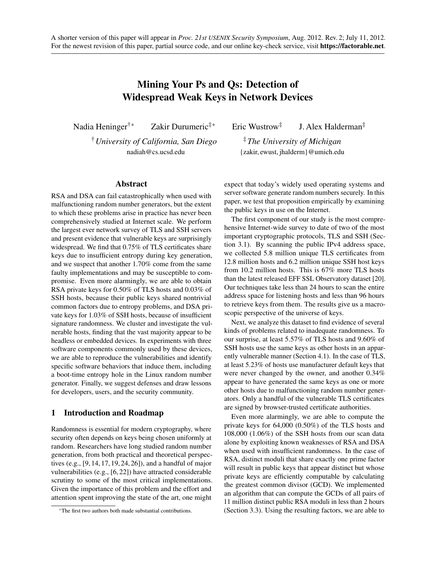# Mining Your Ps and Qs: Detection of Widespread Weak Keys in Network Devices

Nadia Heninger†<sup>∗</sup> Zakir Durumeric‡<sup>∗</sup> Eric Wustrow‡

†*University of California, San Diego* nadiah@cs.ucsd.edu

# J. Alex Halderman‡

‡*The University of Michigan* {zakir, ewust, jhalderm}@umich.edu

# Abstract

RSA and DSA can fail catastrophically when used with malfunctioning random number generators, but the extent to which these problems arise in practice has never been comprehensively studied at Internet scale. We perform the largest ever network survey of TLS and SSH servers and present evidence that vulnerable keys are surprisingly widespread. We find that 0.75% of TLS certificates share keys due to insufficient entropy during key generation, and we suspect that another 1.70% come from the same faulty implementations and may be susceptible to compromise. Even more alarmingly, we are able to obtain RSA private keys for 0.50% of TLS hosts and 0.03% of SSH hosts, because their public keys shared nontrivial common factors due to entropy problems, and DSA private keys for 1.03% of SSH hosts, because of insufficient signature randomness. We cluster and investigate the vulnerable hosts, finding that the vast majority appear to be headless or embedded devices. In experiments with three software components commonly used by these devices, we are able to reproduce the vulnerabilities and identify specific software behaviors that induce them, including a boot-time entropy hole in the Linux random number generator. Finally, we suggest defenses and draw lessons for developers, users, and the security community.

# 1 Introduction and Roadmap

Randomness is essential for modern cryptography, where security often depends on keys being chosen uniformly at random. Researchers have long studied random number generation, from both practical and theoretical perspectives (e.g., [\[9,](#page-19-0) [14,](#page-20-0) [17,](#page-20-1) [19,](#page-20-2) [24,](#page-20-3) [26\]](#page-20-4)), and a handful of major vulnerabilities (e.g., [\[6,](#page-19-1) [22\]](#page-20-5)) have attracted considerable scrutiny to some of the most critical implementations. Given the importance of this problem and the effort and attention spent improving the state of the art, one might

expect that today's widely used operating systems and server software generate random numbers securely. In this paper, we test that proposition empirically by examining the public keys in use on the Internet.

The first component of our study is the most comprehensive Internet-wide survey to date of two of the most important cryptographic protocols, TLS and SSH (Section [3.1\)](#page-2-0). By scanning the public IPv4 address space, we collected 5.8 million unique TLS certificates from 12.8 million hosts and 6.2 million unique SSH host keys from 10.2 million hosts. This is 67% more TLS hosts than the latest released EFF SSL Observatory dataset [\[20\]](#page-20-6). Our techniques take less than 24 hours to scan the entire address space for listening hosts and less than 96 hours to retrieve keys from them. The results give us a macroscopic perspective of the universe of keys.

Next, we analyze this dataset to find evidence of several kinds of problems related to inadequate randomness. To our surprise, at least 5.57% of TLS hosts and 9.60% of SSH hosts use the same keys as other hosts in an apparently vulnerable manner (Section [4.1\)](#page-5-0). In the case of TLS, at least 5.23% of hosts use manufacturer default keys that were never changed by the owner, and another 0.34% appear to have generated the same keys as one or more other hosts due to malfunctioning random number generators. Only a handful of the vulnerable TLS certificates are signed by browser-trusted certificate authorities.

Even more alarmingly, we are able to compute the private keys for 64,000 (0.50%) of the TLS hosts and 108,000 (1.06%) of the SSH hosts from our scan data alone by exploiting known weaknesses of RSA and DSA when used with insufficient randomness. In the case of RSA, distinct moduli that share exactly one prime factor will result in public keys that appear distinct but whose private keys are efficiently computable by calculating the greatest common divisor (GCD). We implemented an algorithm that can compute the GCDs of all pairs of 11 million distinct public RSA moduli in less than 2 hours (Section [3.3\)](#page-4-0). Using the resulting factors, we are able to

<sup>∗</sup>The first two authors both made substantial contributions.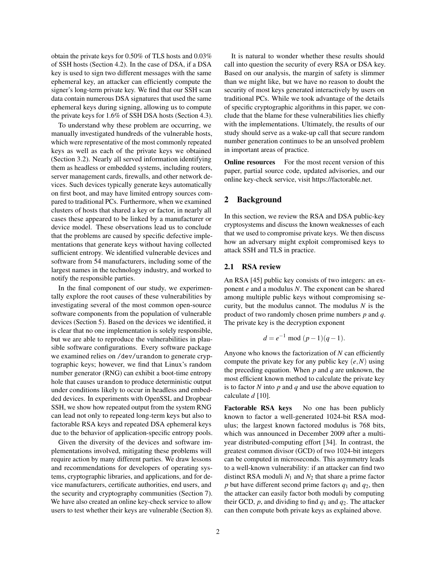obtain the private keys for 0.50% of TLS hosts and 0.03% of SSH hosts (Section [4.2\)](#page-7-0). In the case of DSA, if a DSA key is used to sign two different messages with the same ephemeral key, an attacker can efficiently compute the signer's long-term private key. We find that our SSH scan data contain numerous DSA signatures that used the same ephemeral keys during signing, allowing us to compute the private keys for 1.6% of SSH DSA hosts (Section [4.3\)](#page-8-0).

To understand why these problem are occurring, we manually investigated hundreds of the vulnerable hosts, which were representative of the most commonly repeated keys as well as each of the private keys we obtained (Section [3.2\)](#page-3-0). Nearly all served information identifying them as headless or embedded systems, including routers, server management cards, firewalls, and other network devices. Such devices typically generate keys automatically on first boot, and may have limited entropy sources compared to traditional PCs. Furthermore, when we examined clusters of hosts that shared a key or factor, in nearly all cases these appeared to be linked by a manufacturer or device model. These observations lead us to conclude that the problems are caused by specific defective implementations that generate keys without having collected sufficient entropy. We identified vulnerable devices and software from 54 manufacturers, including some of the largest names in the technology industry, and worked to notify the responsible parties.

In the final component of our study, we experimentally explore the root causes of these vulnerabilities by investigating several of the most common open-source software components from the population of vulnerable devices (Section [5\)](#page-9-0). Based on the devices we identified, it is clear that no one implementation is solely responsible, but we are able to reproduce the vulnerabilities in plausible software configurations. Every software package we examined relies on /dev/urandom to generate cryptographic keys; however, we find that Linux's random number generator (RNG) can exhibit a boot-time entropy hole that causes urandom to produce deterministic output under conditions likely to occur in headless and embedded devices. In experiments with OpenSSL and Dropbear SSH, we show how repeated output from the system RNG can lead not only to repeated long-term keys but also to factorable RSA keys and repeated DSA ephemeral keys due to the behavior of application-specific entropy pools.

Given the diversity of the devices and software implementations involved, mitigating these problems will require action by many different parties. We draw lessons and recommendations for developers of operating systems, cryptographic libraries, and applications, and for device manufacturers, certificate authorities, end users, and the security and cryptography communities (Section [7\)](#page-16-0). We have also created an online key-check service to allow users to test whether their keys are vulnerable (Section [8\)](#page-17-0).

It is natural to wonder whether these results should call into question the security of every RSA or DSA key. Based on our analysis, the margin of safety is slimmer than we might like, but we have no reason to doubt the security of most keys generated interactively by users on traditional PCs. While we took advantage of the details of specific cryptographic algorithms in this paper, we conclude that the blame for these vulnerabilities lies chiefly with the implementations. Ultimately, the results of our study should serve as a wake-up call that secure random number generation continues to be an unsolved problem in important areas of practice.

Online resources For the most recent version of this paper, partial source code, updated advisories, and our online key-check service, visit [https://factorable.net.](https://factorable.net)

# 2 Background

In this section, we review the RSA and DSA public-key cryptosystems and discuss the known weaknesses of each that we used to compromise private keys. We then discuss how an adversary might exploit compromised keys to attack SSH and TLS in practice.

#### <span id="page-1-0"></span>2.1 RSA review

An RSA [\[45\]](#page-20-7) public key consists of two integers: an exponent *e* and a modulus *N*. The exponent can be shared among multiple public keys without compromising security, but the modulus cannot. The modulus *N* is the product of two randomly chosen prime numbers *p* and *q*. The private key is the decryption exponent

$$
d = e^{-1} \bmod (p-1)(q-1).
$$

Anyone who knows the factorization of *N* can efficiently compute the private key for any public key (*e*,*N*) using the preceding equation. When *p* and *q* are unknown, the most efficient known method to calculate the private key is to factor *N* into *p* and *q* and use the above equation to calculate *d* [\[10\]](#page-19-2).

Factorable RSA keys No one has been publicly known to factor a well-generated 1024-bit RSA modulus; the largest known factored modulus is 768 bits, which was announced in December 2009 after a multiyear distributed-computing effort [\[34\]](#page-20-8). In contrast, the greatest common divisor (GCD) of two 1024-bit integers can be computed in microseconds. This asymmetry leads to a well-known vulnerability: if an attacker can find two distinct RSA moduli  $N_1$  and  $N_2$  that share a prime factor *p* but have different second prime factors  $q_1$  and  $q_2$ , then the attacker can easily factor both moduli by computing their GCD,  $p$ , and dividing to find  $q_1$  and  $q_2$ . The attacker can then compute both private keys as explained above.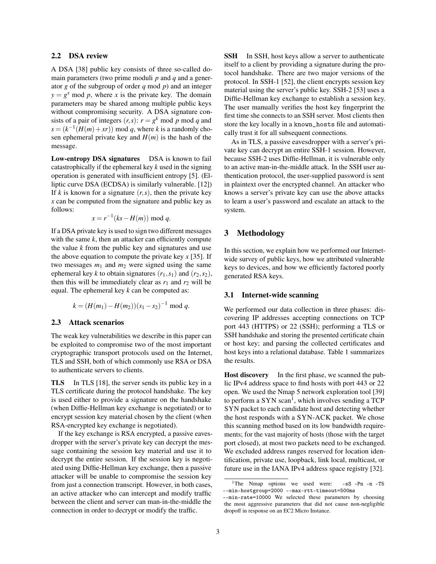# <span id="page-2-2"></span>2.2 DSA review

A DSA [\[38\]](#page-20-9) public key consists of three so-called domain parameters (two prime moduli *p* and *q* and a generator *g* of the subgroup of order *q* mod *p*) and an integer  $y = g^x \mod p$ , where *x* is the private key. The domain parameters may be shared among multiple public keys without compromising security. A DSA signature consists of a pair of integers  $(r, s)$ :  $r = g^k \mod p \mod q$  and  $s = (k^{-1}(H(m) + xr)) \text{ mod } q$ , where *k* is a randomly chosen ephemeral private key and  $H(m)$  is the hash of the message.

Low-entropy DSA signatures DSA is known to fail catastrophically if the ephemeral key *k* used in the signing operation is generated with insufficient entropy [\[5\]](#page-19-3). (Elliptic curve DSA (ECDSA) is similarly vulnerable. [\[12\]](#page-19-4)) If  $k$  is known for a signature  $(r, s)$ , then the private key *x* can be computed from the signature and public key as follows:

$$
x = r^{-1}(ks - H(m)) \bmod q.
$$

If a DSA private key is used to sign two different messages with the same *k*, then an attacker can efficiently compute the value *k* from the public key and signatures and use the above equation to compute the private key  $x$  [\[35\]](#page-20-10). If two messages  $m_1$  and  $m_2$  were signed using the same ephemeral key *k* to obtain signatures  $(r_1, s_1)$  and  $(r_2, s_2)$ , then this will be immediately clear as  $r_1$  and  $r_2$  will be equal. The ephemeral key *k* can be computed as:

$$
k = (H(m_1) - H(m_2))(s_1 - s_2)^{-1} \mod q.
$$

# 2.3 Attack scenarios

The weak key vulnerabilities we describe in this paper can be exploited to compromise two of the most important cryptographic transport protocols used on the Internet, TLS and SSH, both of which commonly use RSA or DSA to authenticate servers to clients.

TLS In TLS [\[18\]](#page-20-11), the server sends its public key in a TLS certificate during the protocol handshake. The key is used either to provide a signature on the handshake (when Diffie-Hellman key exchange is negotiated) or to encrypt session key material chosen by the client (when RSA-encrypted key exchange is negotiated).

If the key exchange is RSA encrypted, a passive eavesdropper with the server's private key can decrypt the message containing the session key material and use it to decrypt the entire session. If the session key is negotiated using Diffie-Hellman key exchange, then a passive attacker will be unable to compromise the session key from just a connection transcript. However, in both cases, an active attacker who can intercept and modify traffic between the client and server can man-in-the-middle the connection in order to decrypt or modify the traffic.

**SSH** In SSH, host keys allow a server to authenticate itself to a client by providing a signature during the protocol handshake. There are two major versions of the protocol. In SSH-1 [\[52\]](#page-20-12), the client encrypts session key material using the server's public key. SSH-2 [\[53\]](#page-20-13) uses a Diffie-Hellman key exchange to establish a session key. The user manually verifies the host key fingerprint the first time she connects to an SSH server. Most clients then store the key locally in a known\_hosts file and automatically trust it for all subsequent connections.

As in TLS, a passive eavesdropper with a server's private key can decrypt an entire SSH-1 session. However, because SSH-2 uses Diffie-Hellman, it is vulnerable only to an active man-in-the-middle attack. In the SSH user authentication protocol, the user-supplied password is sent in plaintext over the encrypted channel. An attacker who knows a server's private key can use the above attacks to learn a user's password and escalate an attack to the system.

# 3 Methodology

In this section, we explain how we performed our Internetwide survey of public keys, how we attributed vulnerable keys to devices, and how we efficiently factored poorly generated RSA keys.

#### <span id="page-2-0"></span>3.1 Internet-wide scanning

We performed our data collection in three phases: discovering IP addresses accepting connections on TCP port 443 (HTTPS) or 22 (SSH); performing a TLS or SSH handshake and storing the presented certificate chain or host key; and parsing the collected certificates and host keys into a relational database. Table [1](#page-3-1) summarizes the results.

Host discovery In the first phase, we scanned the public IPv4 address space to find hosts with port 443 or 22 open. We used the Nmap 5 network exploration tool [\[39\]](#page-20-14) to perform a SYN scan<sup>[1](#page-2-1)</sup>, which involves sending a TCP SYN packet to each candidate host and detecting whether the host responds with a SYN-ACK packet. We chose this scanning method based on its low bandwidth requirements; for the vast majority of hosts (those with the target port closed), at most two packets need to be exchanged. We excluded address ranges reserved for location identification, private use, loopback, link local, multicast, or future use in the IANA IPv4 address space registry [\[32\]](#page-20-15).

<span id="page-2-1"></span><sup>&</sup>lt;sup>1</sup>The Nmap options we used were:  $-sS$  -Pn -n -T5 --min-hostgroup=2000 --max-rtt-timeout=500ms

<sup>--</sup>min-rate=10000 We selected these parameters by choosing the most aggressive parameters that did not cause non-negligible dropoff in response on an EC2 Micro Instance.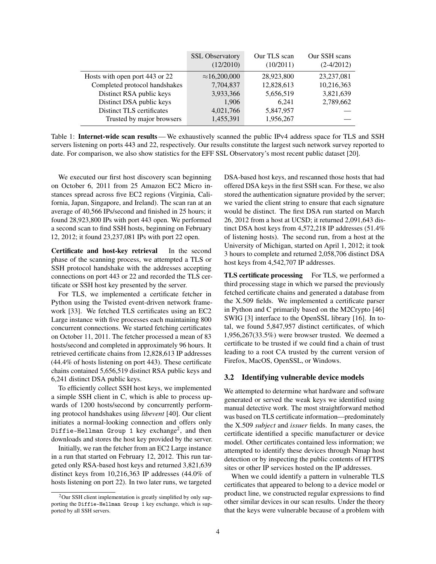<span id="page-3-1"></span>

|                                | <b>SSL Observatory</b><br>(12/2010) | Our TLS scan<br>(10/2011) | Our SSH scans<br>$(2-4/2012)$ |
|--------------------------------|-------------------------------------|---------------------------|-------------------------------|
| Hosts with open port 443 or 22 | $\approx$ 16,200,000                | 28,923,800                | 23, 237, 081                  |
| Completed protocol handshakes  | 7,704,837                           | 12,828,613                | 10,216,363                    |
| Distinct RSA public keys       | 3,933,366                           | 5,656,519                 | 3,821,639                     |
| Distinct DSA public keys       | 1,906                               | 6.241                     | 2,789,662                     |
| Distinct TLS certificates      | 4,021,766                           | 5,847,957                 |                               |
| Trusted by major browsers      | 1,455,391                           | 1,956,267                 |                               |

Table 1: Internet-wide scan results — We exhaustively scanned the public IPv4 address space for TLS and SSH servers listening on ports 443 and 22, respectively. Our results constitute the largest such network survey reported to date. For comparison, we also show statistics for the EFF SSL Observatory's most recent public dataset [\[20\]](#page-20-6).

We executed our first host discovery scan beginning on October 6, 2011 from 25 Amazon EC2 Micro instances spread across five EC2 regions (Virginia, California, Japan, Singapore, and Ireland). The scan ran at an average of 40,566 IPs/second and finished in 25 hours; it found 28,923,800 IPs with port 443 open. We performed a second scan to find SSH hosts, beginning on February 12, 2012; it found 23,237,081 IPs with port 22 open.

Certificate and host-key retrieval In the second phase of the scanning process, we attempted a TLS or SSH protocol handshake with the addresses accepting connections on port 443 or 22 and recorded the TLS certificate or SSH host key presented by the server.

For TLS, we implemented a certificate fetcher in Python using the Twisted event-driven network framework [\[33\]](#page-20-16). We fetched TLS certificates using an EC2 Large instance with five processes each maintaining 800 concurrent connections. We started fetching certificates on October 11, 2011. The fetcher processed a mean of 83 hosts/second and completed in approximately 96 hours. It retrieved certificate chains from 12,828,613 IP addresses (44.4% of hosts listening on port 443). These certificate chains contained 5,656,519 distinct RSA public keys and 6,241 distinct DSA public keys.

To efficiently collect SSH host keys, we implemented a simple SSH client in C, which is able to process upwards of 1200 hosts/second by concurrently performing protocol handshakes using *libevent* [\[40\]](#page-20-17). Our client initiates a normal-looking connection and offers only <code>Diffie-Hellman Group 1</code> key exchange $^2$  $^2$ , and then downloads and stores the host key provided by the server.

Initially, we ran the fetcher from an EC2 Large instance in a run that started on February 12, 2012. This run targeted only RSA-based host keys and returned 3,821,639 distinct keys from 10,216,363 IP addresses (44.0% of hosts listening on port 22). In two later runs, we targeted DSA-based host keys, and rescanned those hosts that had offered DSA keys in the first SSH scan. For these, we also stored the authentication signature provided by the server; we varied the client string to ensure that each signature would be distinct. The first DSA run started on March 26, 2012 from a host at UCSD; it returned 2,091,643 distinct DSA host keys from 4,572,218 IP addresses (51.4% of listening hosts). The second run, from a host at the University of Michigan, started on April 1, 2012; it took 3 hours to complete and returned 2,058,706 distinct DSA host keys from 4,542,707 IP addresses.

TLS certificate processing For TLS, we performed a third processing stage in which we parsed the previously fetched certificate chains and generated a database from the X.509 fields. We implemented a certificate parser in Python and C primarily based on the M2Crypto [\[46\]](#page-20-18) SWIG [\[3\]](#page-19-5) interface to the OpenSSL library [\[16\]](#page-20-19). In total, we found 5,847,957 distinct certificates, of which 1,956,267(33.5%) were browser trusted. We deemed a certificate to be trusted if we could find a chain of trust leading to a root CA trusted by the current version of Firefox, MacOS, OpenSSL, or Windows.

#### <span id="page-3-0"></span>3.2 Identifying vulnerable device models

We attempted to determine what hardware and software generated or served the weak keys we identified using manual detective work. The most straightforward method was based on TLS certificate information—predominately the X.509 *subject* and *issuer* fields. In many cases, the certificate identified a specific manufacturer or device model. Other certificates contained less information; we attempted to identify these devices through Nmap host detection or by inspecting the public contents of HTTPS sites or other IP services hosted on the IP addresses.

When we could identify a pattern in vulnerable TLS certificates that appeared to belong to a device model or product line, we constructed regular expressions to find other similar devices in our scan results. Under the theory that the keys were vulnerable because of a problem with

<span id="page-3-2"></span><sup>&</sup>lt;sup>2</sup>Our SSH client implementation is greatly simplified by only supporting the Diffie-Hellman Group 1 key exchange, which is supported by all SSH servers.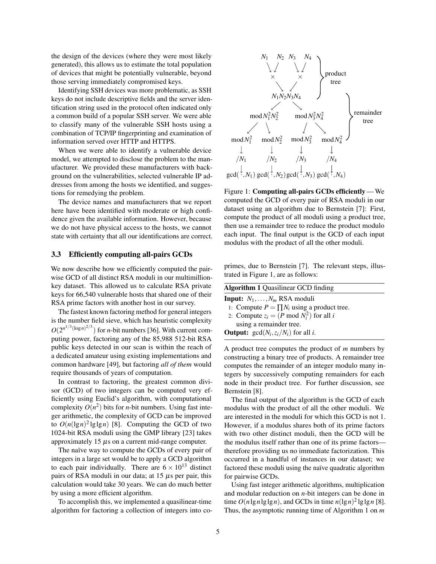the design of the devices (where they were most likely generated), this allows us to estimate the total population of devices that might be potentially vulnerable, beyond those serving immediately compromised keys.

Identifying SSH devices was more problematic, as SSH keys do not include descriptive fields and the server identification string used in the protocol often indicated only a common build of a popular SSH server. We were able to classify many of the vulnerable SSH hosts using a combination of TCP/IP fingerprinting and examination of information served over HTTP and HTTPS.

When we were able to identify a vulnerable device model, we attempted to disclose the problem to the manufacturer. We provided these manufacturers with background on the vulnerabilities, selected vulnerable IP addresses from among the hosts we identified, and suggestions for remedying the problem.

The device names and manufacturers that we report here have been identified with moderate or high confidence given the available information. However, because we do not have physical access to the hosts, we cannot state with certainty that all our identifications are correct.

# <span id="page-4-0"></span>3.3 Efficiently computing all-pairs GCDs

We now describe how we efficiently computed the pairwise GCD of all distinct RSA moduli in our multimillionkey dataset. This allowed us to calculate RSA private keys for 66,540 vulnerable hosts that shared one of their RSA prime factors with another host in our survey.

The fastest known factoring method for general integers is the number field sieve, which has heuristic complexity  $O(2^{n^{1/3}(\log n)^{2/3}})$  for *n*-bit numbers [\[36\]](#page-20-20). With current computing power, factoring any of the 85,988 512-bit RSA public keys detected in our scan is within the reach of a dedicated amateur using existing implementations and common hardware [\[49\]](#page-20-21), but factoring *all of them* would require thousands of years of computation.

In contrast to factoring, the greatest common divisor (GCD) of two integers can be computed very efficiently using Euclid's algorithm, with computational complexity  $O(n^2)$  bits for *n*-bit numbers. Using fast integer arithmetic, the complexity of GCD can be improved to  $O(n(\lg n)^2 \lg \lg n)$  [\[8\]](#page-19-6). Computing the GCD of two 1024-bit RSA moduli using the GMP library [\[23\]](#page-20-22) takes approximately  $15 \mu s$  on a current mid-range computer.

The naïve way to compute the GCDs of every pair of integers in a large set would be to apply a GCD algorithm to each pair individually. There are  $6 \times 10^{13}$  distinct pairs of RSA moduli in our data; at 15 µs per pair, this calculation would take 30 years. We can do much better by using a more efficient algorithm.

To accomplish this, we implemented a quasilinear-time algorithm for factoring a collection of integers into co-

<span id="page-4-1"></span>

Figure 1: Computing all-pairs GCDs efficiently— We computed the GCD of every pair of RSA moduli in our dataset using an algorithm due to Bernstein [\[7\]](#page-19-7): First, compute the product of all moduli using a product tree, then use a remainder tree to reduce the product modulo each input. The final output is the GCD of each input modulus with the product of all the other moduli.

primes, due to Bernstein [\[7\]](#page-19-7). The relevant steps, illustrated in Figure [1,](#page-4-1) are as follows:

<span id="page-4-2"></span>

| <b>Algorithm 1 Quasilinear GCD finding</b>            |
|-------------------------------------------------------|
| <b>Input:</b> $N_1, \ldots, N_m$ RSA moduli           |
| 1: Compute $P = \prod N_i$ using a product tree.      |
| 2: Compute $z_i = (P \mod N_i^2)$ for all i           |
| using a remainder tree.                               |
| <b>Output:</b> $gcd(N_i, z_i/N_i)$ for all <i>i</i> . |

A product tree computes the product of *m* numbers by constructing a binary tree of products. A remainder tree computes the remainder of an integer modulo many integers by successively computing remainders for each node in their product tree. For further discussion, see Bernstein [\[8\]](#page-19-6).

The final output of the algorithm is the GCD of each modulus with the product of all the other moduli. We are interested in the moduli for which this GCD is not 1. However, if a modulus shares both of its prime factors with two other distinct moduli, then the GCD will be the modulus itself rather than one of its prime factors therefore providing us no immediate factorization. This occurred in a handful of instances in our dataset; we factored these moduli using the naïve quadratic algorithm for pairwise GCDs.

Using fast integer arithmetic algorithms, multiplication and modular reduction on *n*-bit integers can be done in time  $O(n \lg n \lg \lg n)$ , and GCDs in time  $n(\lg n)^2 \lg \lg n$  [\[8\]](#page-19-6). Thus, the asymptotic running time of Algorithm [1](#page-4-2) on *m*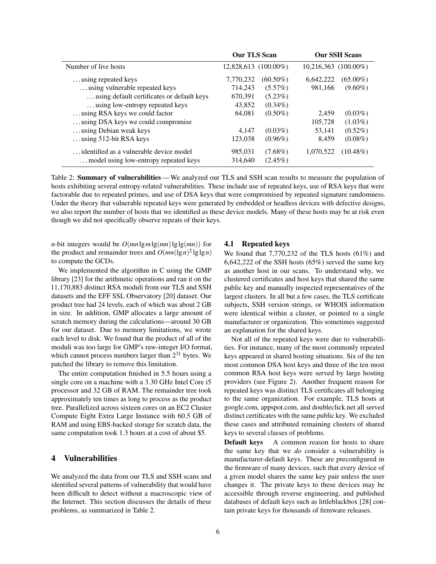<span id="page-5-1"></span>

|                                            | <b>Our TLS Scan</b>  |             |                           | <b>Our SSH Scans</b> |
|--------------------------------------------|----------------------|-------------|---------------------------|----------------------|
| Number of live hosts                       | 12,828,613 (100.00%) |             | $10,216,363$ $(100.00\%)$ |                      |
| using repeated keys                        | 7,770,232            | $(60.50\%)$ | 6,642,222                 | $(65.00\%)$          |
| using vulnerable repeated keys             | 714,243              | $(5.57\%)$  | 981,166                   | $(9.60\%)$           |
| using default certificates or default keys | 670,391              | $(5.23\%)$  |                           |                      |
| using low-entropy repeated keys            | 43,852               | $(0.34\%)$  |                           |                      |
| using RSA keys we could factor             | 64,081               | $(0.50\%)$  | 2.459                     | $(0.03\%)$           |
| using DSA keys we could compromise         |                      |             | 105,728                   | $(1.03\%)$           |
| using Debian weak keys                     | 4.147                | $(0.03\%)$  | 53.141                    | $(0.52\%)$           |
| using $512$ -bit RSA keys                  | 123,038              | $(0.96\%)$  | 8.459                     | $(0.08\%)$           |
| identified as a vulnerable device model    | 985,031              | $(7.68\%)$  | 1,070,522                 | $(10.48\%)$          |
| model using low-entropy repeated keys      | 314,640              | $(2.45\%)$  |                           |                      |

Table 2: **Summary of vulnerabilities**— We analyzed our TLS and SSH scan results to measure the population of hosts exhibiting several entropy-related vulnerabilities. These include use of repeated keys, use of RSA keys that were factorable due to repeated primes, and use of DSA keys that were compromised by repeated signature randomness. Under the theory that vulnerable repeated keys were generated by embedded or headless devices with defective designs, we also report the number of hosts that we identified as these device models. Many of these hosts may be at risk even though we did not specifically observe repeats of their keys.

*n*-bit integers would be  $O(mn \lg m \lg(mn) \lg \lg(mn))$  for the product and remainder trees and  $O(mn(\lg n)^2 \lg \lg n)$ to compute the GCDs.

We implemented the algorithm in C using the GMP library [\[23\]](#page-20-22) for the arithmetic operations and ran it on the 11,170,883 distinct RSA moduli from our TLS and SSH datasets and the EFF SSL Observatory [\[20\]](#page-20-6) dataset. Our product tree had 24 levels, each of which was about 2 GB in size. In addition, GMP allocates a large amount of scratch memory during the calculations—around 30 GB for our dataset. Due to memory limitations, we wrote each level to disk. We found that the product of all of the moduli was too large for GMP's raw-integer I/O format, which cannot process numbers larger than  $2^{31}$  bytes. We patched the library to remove this limitation.

The entire computation finished in 5.5 hours using a single core on a machine with a 3.30 GHz Intel Core i5 processor and 32 GB of RAM. The remainder tree took approximately ten times as long to process as the product tree. Parallelized across sixteen cores on an EC2 Cluster Compute Eight Extra Large Instance with 60.5 GB of RAM and using EBS-backed storage for scratch data, the same computation took 1.3 hours at a cost of about \$5.

# 4 Vulnerabilities

We analyzed the data from our TLS and SSH scans and identified several patterns of vulnerability that would have been difficult to detect without a macroscopic view of the Internet. This section discusses the details of these problems, as summarized in Table [2.](#page-5-1)

#### <span id="page-5-0"></span>4.1 Repeated keys

We found that 7,770,232 of the TLS hosts (61%) and 6,642,222 of the SSH hosts (65%) served the same key as another host in our scans. To understand why, we clustered certificates and host keys that shared the same public key and manually inspected representatives of the largest clusters. In all but a few cases, the TLS certificate subjects, SSH version strings, or WHOIS information were identical within a cluster, or pointed to a single manufacturer or organization. This sometimes suggested an explanation for the shared keys.

Not all of the repeated keys were due to vulnerabilities. For instance, many of the most commonly repeated keys appeared in shared hosting situations. Six of the ten most common DSA host keys and three of the ten most common RSA host keys were served by large hosting providers (see Figure [2\)](#page-6-0). Another frequent reason for repeated keys was distinct TLS certificates all belonging to the same organization. For example, TLS hosts at google.com, appspot.com, and doubleclick.net all served distinct certificates with the same public key. We excluded these cases and attributed remaining clusters of shared keys to several classes of problems.

Default keys A common reason for hosts to share the same key that we *do* consider a vulnerability is manufacturer-default keys. These are preconfigured in the firmware of many devices, such that every device of a given model shares the same key pair unless the user changes it. The private keys to these devices may be accessible through reverse engineering, and published databases of default keys such as littleblackbox [\[28\]](#page-20-23) contain private keys for thousands of firmware releases.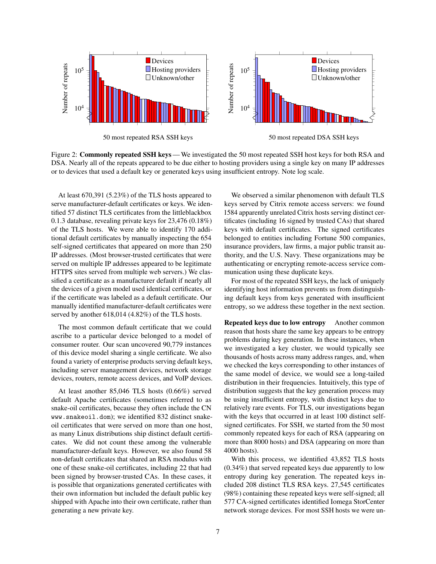<span id="page-6-0"></span>

Figure 2: **Commonly repeated SSH keys** — We investigated the 50 most repeated SSH host keys for both RSA and DSA. Nearly all of the repeats appeared to be due either to hosting providers using a single key on many IP addresses or to devices that used a default key or generated keys using insufficient entropy. Note log scale.

At least 670,391 (5.23%) of the TLS hosts appeared to serve manufacturer-default certificates or keys. We identified 57 distinct TLS certificates from the littleblackbox 0.1.3 database, revealing private keys for 23,476 (0.18%) of the TLS hosts. We were able to identify 170 additional default certificates by manually inspecting the 654 self-signed certificates that appeared on more than 250 IP addresses. (Most browser-trusted certificates that were served on multiple IP addresses appeared to be legitimate HTTPS sites served from multiple web servers.) We classified a certificate as a manufacturer default if nearly all the devices of a given model used identical certificates, or if the certificate was labeled as a default certificate. Our manually identified manufacturer-default certificates were served by another 618,014 (4.82%) of the TLS hosts.

The most common default certificate that we could ascribe to a particular device belonged to a model of consumer router. Our scan uncovered 90,779 instances of this device model sharing a single certificate. We also found a variety of enterprise products serving default keys, including server management devices, network storage devices, routers, remote access devices, and VoIP devices.

At least another 85,046 TLS hosts (0.66%) served default Apache certificates (sometimes referred to as snake-oil certificates, because they often include the CN www.snakeoil.dom); we identified 832 distinct snakeoil certificates that were served on more than one host, as many Linux distributions ship distinct default certificates. We did not count these among the vulnerable manufacturer-default keys. However, we also found 58 non-default certificates that shared an RSA modulus with one of these snake-oil certificates, including 22 that had been signed by browser-trusted CAs. In these cases, it is possible that organizations generated certificates with their own information but included the default public key shipped with Apache into their own certificate, rather than generating a new private key.

We observed a similar phenomenon with default TLS keys served by Citrix remote access servers: we found 1584 apparently unrelated Citrix hosts serving distinct certificates (including 16 signed by trusted CAs) that shared keys with default certificates. The signed certificates belonged to entities including Fortune 500 companies, insurance providers, law firms, a major public transit authority, and the U.S. Navy. These organizations may be authenticating or encrypting remote-access service communication using these duplicate keys.

For most of the repeated SSH keys, the lack of uniquely identifying host information prevents us from distinguishing default keys from keys generated with insufficient entropy, so we address these together in the next section.

Repeated keys due to low entropy Another common reason that hosts share the same key appears to be entropy problems during key generation. In these instances, when we investigated a key cluster, we would typically see thousands of hosts across many address ranges, and, when we checked the keys corresponding to other instances of the same model of device, we would see a long-tailed distribution in their frequencies. Intuitively, this type of distribution suggests that the key generation process may be using insufficient entropy, with distinct keys due to relatively rare events. For TLS, our investigations began with the keys that occurred in at least 100 distinct selfsigned certificates. For SSH, we started from the 50 most commonly repeated keys for each of RSA (appearing on more than 8000 hosts) and DSA (appearing on more than 4000 hosts).

With this process, we identified 43,852 TLS hosts (0.34%) that served repeated keys due apparently to low entropy during key generation. The repeated keys included 208 distinct TLS RSA keys. 27,545 certificates (98%) containing these repeated keys were self-signed; all 577 CA-signed certificates identified Iomega StorCenter network storage devices. For most SSH hosts we were un-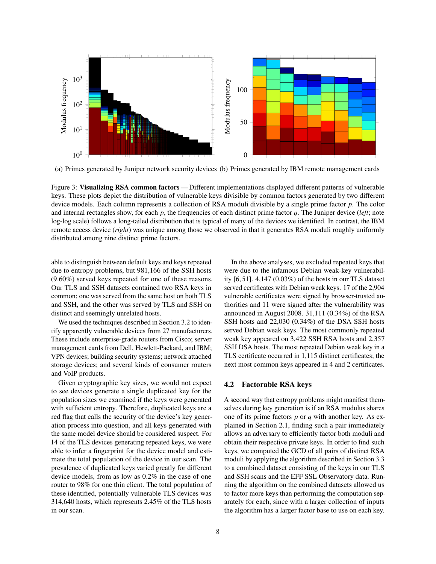<span id="page-7-1"></span>

(a) Primes generated by Juniper network security devices (b) Primes generated by IBM remote management cards

Figure 3: Visualizing RSA common factors— Different implementations displayed different patterns of vulnerable keys. These plots depict the distribution of vulnerable keys divisible by common factors generated by two different device models. Each column represents a collection of RSA moduli divisible by a single prime factor *p*. The color and internal rectangles show, for each *p*, the frequencies of each distinct prime factor *q*. The Juniper device (*left*; note log-log scale) follows a long-tailed distribution that is typical of many of the devices we identified. In contrast, the IBM remote access device (*right*) was unique among those we observed in that it generates RSA moduli roughly uniformly distributed among nine distinct prime factors.

able to distinguish between default keys and keys repeated due to entropy problems, but 981,166 of the SSH hosts (9.60%) served keys repeated for one of these reasons. Our TLS and SSH datasets contained two RSA keys in common; one was served from the same host on both TLS and SSH, and the other was served by TLS and SSH on distinct and seemingly unrelated hosts.

We used the techniques described in Section [3.2](#page-3-0) to identify apparently vulnerable devices from 27 manufacturers. These include enterprise-grade routers from Cisco; server management cards from Dell, Hewlett-Packard, and IBM; VPN devices; building security systems; network attached storage devices; and several kinds of consumer routers and VoIP products.

Given cryptographic key sizes, we would not expect to see devices generate a single duplicated key for the population sizes we examined if the keys were generated with sufficient entropy. Therefore, duplicated keys are a red flag that calls the security of the device's key generation process into question, and all keys generated with the same model device should be considered suspect. For 14 of the TLS devices generating repeated keys, we were able to infer a fingerprint for the device model and estimate the total population of the device in our scan. The prevalence of duplicated keys varied greatly for different device models, from as low as 0.2% in the case of one router to 98% for one thin client. The total population of these identified, potentially vulnerable TLS devices was 314,640 hosts, which represents 2.45% of the TLS hosts in our scan.

In the above analyses, we excluded repeated keys that were due to the infamous Debian weak-key vulnerability [\[6,](#page-19-1) [51\]](#page-20-24). 4,147 (0.03%) of the hosts in our TLS dataset served certificates with Debian weak keys. 17 of the 2,904 vulnerable certificates were signed by browser-trusted authorities and 11 were signed after the vulnerability was announced in August 2008. 31,111 (0.34%) of the RSA SSH hosts and 22,030 (0.34%) of the DSA SSH hosts served Debian weak keys. The most commonly repeated weak key appeared on 3,422 SSH RSA hosts and 2,357 SSH DSA hosts. The most repeated Debian weak key in a TLS certificate occurred in 1,115 distinct certificates; the next most common keys appeared in 4 and 2 certificates.

## <span id="page-7-0"></span>4.2 Factorable RSA keys

A second way that entropy problems might manifest themselves during key generation is if an RSA modulus shares one of its prime factors *p* or *q* with another key. As explained in Section [2.1,](#page-1-0) finding such a pair immediately allows an adversary to efficiently factor both moduli and obtain their respective private keys. In order to find such keys, we computed the GCD of all pairs of distinct RSA moduli by applying the algorithm described in Section [3.3](#page-4-0) to a combined dataset consisting of the keys in our TLS and SSH scans and the EFF SSL Observatory data. Running the algorithm on the combined datasets allowed us to factor more keys than performing the computation separately for each, since with a larger collection of inputs the algorithm has a larger factor base to use on each key.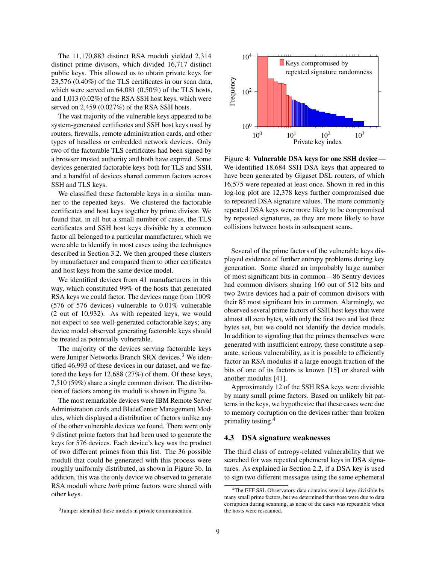The 11,170,883 distinct RSA moduli yielded 2,314 distinct prime divisors, which divided 16,717 distinct public keys. This allowed us to obtain private keys for 23,576 (0.40%) of the TLS certificates in our scan data, which were served on 64,081 (0.50%) of the TLS hosts, and 1,013 (0.02%) of the RSA SSH host keys, which were served on 2,459 (0.027%) of the RSA SSH hosts.

The vast majority of the vulnerable keys appeared to be system-generated certificates and SSH host keys used by routers, firewalls, remote administration cards, and other types of headless or embedded network devices. Only two of the factorable TLS certificates had been signed by a browser trusted authority and both have expired. Some devices generated factorable keys both for TLS and SSH, and a handful of devices shared common factors across SSH and TLS keys.

We classified these factorable keys in a similar manner to the repeated keys. We clustered the factorable certificates and host keys together by prime divisor. We found that, in all but a small number of cases, the TLS certificates and SSH host keys divisible by a common factor all belonged to a particular manufacturer, which we were able to identify in most cases using the techniques described in Section [3.2.](#page-3-0) We then grouped these clusters by manufacturer and compared them to other certificates and host keys from the same device model.

We identified devices from 41 manufacturers in this way, which constituted 99% of the hosts that generated RSA keys we could factor. The devices range from 100% (576 of 576 devices) vulnerable to 0.01% vulnerable (2 out of 10,932). As with repeated keys, we would not expect to see well-generated cofactorable keys; any device model observed generating factorable keys should be treated as potentially vulnerable.

The majority of the devices serving factorable keys were Juniper Networks Branch SRX devices. $3$  We identified 46,993 of these devices in our dataset, and we factored the keys for 12,688 (27%) of them. Of these keys, 7,510 (59%) share a single common divisor. The distribution of factors among its moduli is shown in Figure [3a](#page-7-1).

The most remarkable devices were IBM Remote Server Administration cards and BladeCenter Management Modules, which displayed a distribution of factors unlike any of the other vulnerable devices we found. There were only 9 distinct prime factors that had been used to generate the keys for 576 devices. Each device's key was the product of two different primes from this list. The 36 possible moduli that could be generated with this process were roughly uniformly distributed, as shown in Figure [3b](#page-7-1). In addition, this was the only device we observed to generate RSA moduli where *both* prime factors were shared with other keys.

<span id="page-8-1"></span>

<span id="page-8-3"></span>

Figure 4: Vulnerable DSA keys for one SSH device— We identified 18,684 SSH DSA keys that appeared to have been generated by Gigaset DSL routers, of which 16,575 were repeated at least once. Shown in red in this log-log plot are 12,378 keys further compromised due to repeated DSA signature values. The more commonly repeated DSA keys were more likely to be compromised by repeated signatures, as they are more likely to have collisions between hosts in subsequent scans.

Several of the prime factors of the vulnerable keys displayed evidence of further entropy problems during key generation. Some shared an improbably large number of most significant bits in common—86 Sentry devices had common divisors sharing 160 out of 512 bits and two 2wire devices had a pair of common divisors with their 85 most significant bits in common. Alarmingly, we observed several prime factors of SSH host keys that were almost all zero bytes, with only the first two and last three bytes set, but we could not identify the device models. In addition to signaling that the primes themselves were generated with insufficient entropy, these constitute a separate, serious vulnerability, as it is possible to efficiently factor an RSA modulus if a large enough fraction of the bits of one of its factors is known [\[15\]](#page-20-25) or shared with another modulus [\[41\]](#page-20-26).

Approximately 12 of the SSH RSA keys were divisible by many small prime factors. Based on unlikely bit patterns in the keys, we hypothesize that these cases were due to memory corruption on the devices rather than broken primality testing.[4](#page-8-2)

# <span id="page-8-0"></span>4.3 DSA signature weaknesses

The third class of entropy-related vulnerability that we searched for was repeated ephemeral keys in DSA signatures. As explained in Section [2.2,](#page-2-2) if a DSA key is used to sign two different messages using the same ephemeral

<span id="page-8-2"></span><sup>4</sup>The EFF SSL Observatory data contains several keys divisible by many small prime factors, but we determined that those were due to data corruption during scanning, as none of the cases was repeatable when the hosts were rescanned.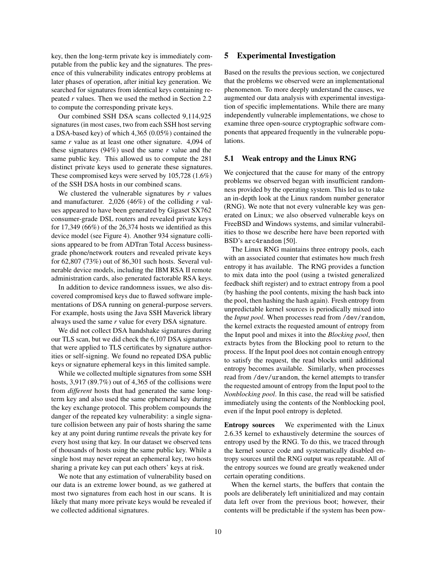key, then the long-term private key is immediately computable from the public key and the signatures. The presence of this vulnerability indicates entropy problems at later phases of operation, after initial key generation. We searched for signatures from identical keys containing repeated *r* values. Then we used the method in Section [2.2](#page-2-2) to compute the corresponding private keys.

Our combined SSH DSA scans collected 9,114,925 signatures (in most cases, two from each SSH host serving a DSA-based key) of which 4,365 (0.05%) contained the same *r* value as at least one other signature. 4,094 of these signatures (94%) used the same *r* value and the same public key. This allowed us to compute the 281 distinct private keys used to generate these signatures. These compromised keys were served by 105,728 (1.6%) of the SSH DSA hosts in our combined scans.

We clustered the vulnerable signatures by *r* values and manufacturer. 2,026 (46%) of the colliding *r* values appeared to have been generated by Gigaset SX762 consumer-grade DSL routers and revealed private keys for 17,349 (66%) of the 26,374 hosts we identified as this device model (see Figure [4\)](#page-8-3). Another 934 signature collisions appeared to be from ADTran Total Access businessgrade phone/network routers and revealed private keys for 62,807 (73%) out of 86,301 such hosts. Several vulnerable device models, including the IBM RSA II remote administration cards, also generated factorable RSA keys.

In addition to device randomness issues, we also discovered compromised keys due to flawed software implementations of DSA running on general-purpose servers. For example, hosts using the Java SSH Maverick library always used the same *r* value for every DSA signature.

We did not collect DSA handshake signatures during our TLS scan, but we did check the 6,107 DSA signatures that were applied to TLS certificates by signature authorities or self-signing. We found no repeated DSA public keys or signature ephemeral keys in this limited sample.

While we collected multiple signatures from some SSH hosts, 3,917 (89.7%) out of 4,365 of the collisions were from *different* hosts that had generated the same longterm key and also used the same ephemeral key during the key exchange protocol. This problem compounds the danger of the repeated key vulnerability: a single signature collision between any pair of hosts sharing the same key at any point during runtime reveals the private key for every host using that key. In our dataset we observed tens of thousands of hosts using the same public key. While a single host may never repeat an ephemeral key, two hosts sharing a private key can put each others' keys at risk.

We note that any estimation of vulnerability based on our data is an extreme lower bound, as we gathered at most two signatures from each host in our scans. It is likely that many more private keys would be revealed if we collected additional signatures.

# <span id="page-9-0"></span>5 Experimental Investigation

Based on the results the previous section, we conjectured that the problems we observed were an implementational phenomenon. To more deeply understand the causes, we augmented our data analysis with experimental investigation of specific implementations. While there are many independently vulnerable implementations, we chose to examine three open-source cryptographic software components that appeared frequently in the vulnerable populations.

#### <span id="page-9-1"></span>5.1 Weak entropy and the Linux RNG

We conjectured that the cause for many of the entropy problems we observed began with insufficient randomness provided by the operating system. This led us to take an in-depth look at the Linux random number generator (RNG). We note that not every vulnerable key was generated on Linux; we also observed vulnerable keys on FreeBSD and Windows systems, and similar vulnerabilities to those we describe here have been reported with BSD's arc4random [\[50\]](#page-20-27).

The Linux RNG maintains three entropy pools, each with an associated counter that estimates how much fresh entropy it has available. The RNG provides a function to mix data into the pool (using a twisted generalized feedback shift register) and to extract entropy from a pool (by hashing the pool contents, mixing the hash back into the pool, then hashing the hash again). Fresh entropy from unpredictable kernel sources is periodically mixed into the *Input pool*. When processes read from /dev/random, the kernel extracts the requested amount of entropy from the Input pool and mixes it into the *Blocking pool*, then extracts bytes from the Blocking pool to return to the process. If the Input pool does not contain enough entropy to satisfy the request, the read blocks until additional entropy becomes available. Similarly, when processes read from /dev/urandom, the kernel attempts to transfer the requested amount of entropy from the Input pool to the *Nonblocking pool*. In this case, the read will be satisfied immediately using the contents of the Nonblocking pool, even if the Input pool entropy is depleted.

Entropy sources We experimented with the Linux 2.6.35 kernel to exhaustively determine the sources of entropy used by the RNG. To do this, we traced through the kernel source code and systematically disabled entropy sources until the RNG output was repeatable. All of the entropy sources we found are greatly weakened under certain operating conditions.

When the kernel starts, the buffers that contain the pools are deliberately left uninitialized and may contain data left over from the previous boot; however, their contents will be predictable if the system has been pow-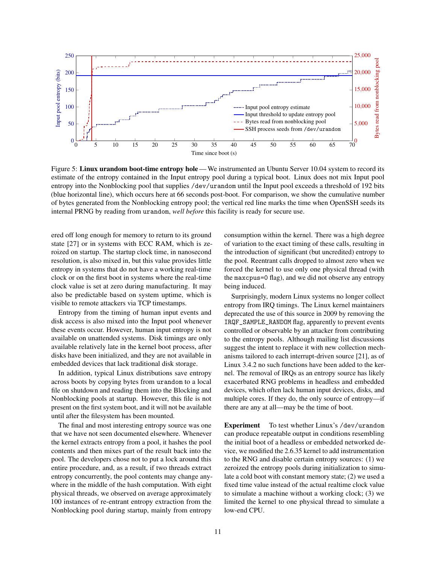<span id="page-10-0"></span>

Figure 5: Linux urandom boot-time entropy hole — We instrumented an Ubuntu Server 10.04 system to record its estimate of the entropy contained in the Input entropy pool during a typical boot. Linux does not mix Input pool entropy into the Nonblocking pool that supplies /dev/urandom until the Input pool exceeds a threshold of 192 bits (blue horizontal line), which occurs here at 66 seconds post-boot. For comparison, we show the cumulative number of bytes generated from the Nonblocking entropy pool; the vertical red line marks the time when OpenSSH seeds its internal PRNG by reading from urandom, *well before* this facility is ready for secure use.

ered off long enough for memory to return to its ground state [\[27\]](#page-20-28) or in systems with ECC RAM, which is zeroized on startup. The startup clock time, in nanosecond resolution, is also mixed in, but this value provides little entropy in systems that do not have a working real-time clock or on the first boot in systems where the real-time clock value is set at zero during manufacturing. It may also be predictable based on system uptime, which is visible to remote attackers via TCP timestamps.

Entropy from the timing of human input events and disk access is also mixed into the Input pool whenever these events occur. However, human input entropy is not available on unattended systems. Disk timings are only available relatively late in the kernel boot process, after disks have been initialized, and they are not available in embedded devices that lack traditional disk storage.

In addition, typical Linux distributions save entropy across boots by copying bytes from urandom to a local file on shutdown and reading them into the Blocking and Nonblocking pools at startup. However, this file is not present on the first system boot, and it will not be available until after the filesystem has been mounted.

The final and most interesting entropy source was one that we have not seen documented elsewhere. Whenever the kernel extracts entropy from a pool, it hashes the pool contents and then mixes part of the result back into the pool. The developers chose not to put a lock around this entire procedure, and, as a result, if two threads extract entropy concurrently, the pool contents may change anywhere in the middle of the hash computation. With eight physical threads, we observed on average approximately 100 instances of re-entrant entropy extraction from the Nonblocking pool during startup, mainly from entropy

consumption within the kernel. There was a high degree of variation to the exact timing of these calls, resulting in the introduction of significant (but uncredited) entropy to the pool. Reentrant calls dropped to almost zero when we forced the kernel to use only one physical thread (with the maxcpus=0 flag), and we did not observe any entropy being induced.

Surprisingly, modern Linux systems no longer collect entropy from IRQ timings. The Linux kernel maintainers deprecated the use of this source in 2009 by removing the IRQF\_SAMPLE\_RANDOM flag, apparently to prevent events controlled or observable by an attacker from contributing to the entropy pools. Although mailing list discussions suggest the intent to replace it with new collection mechanisms tailored to each interrupt-driven source [\[21\]](#page-20-29), as of Linux 3.4.2 no such functions have been added to the kernel. The removal of IRQs as an entropy source has likely exacerbated RNG problems in headless and embedded devices, which often lack human input devices, disks, and multiple cores. If they do, the only source of entropy—if there are any at all—may be the time of boot.

Experiment To test whether Linux's /dev/urandom can produce repeatable output in conditions resembling the initial boot of a headless or embedded networked device, we modified the 2.6.35 kernel to add instrumentation to the RNG and disable certain entropy sources: (1) we zeroized the entropy pools during initialization to simulate a cold boot with constant memory state; (2) we used a fixed time value instead of the actual realtime clock value to simulate a machine without a working clock; (3) we limited the kernel to one physical thread to simulate a low-end CPU.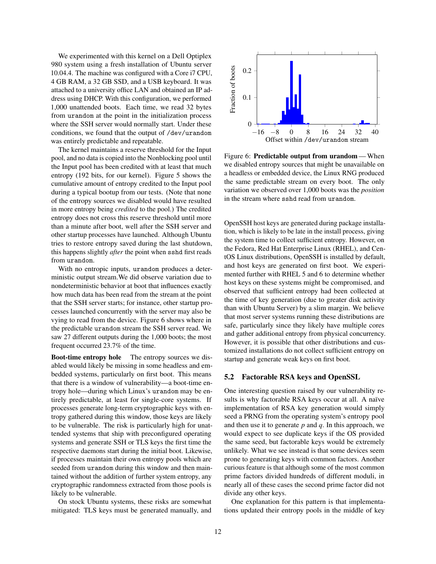We experimented with this kernel on a Dell Optiplex 980 system using a fresh installation of Ubuntu server 10.04.4. The machine was configured with a Core i7 CPU, 4 GB RAM, a 32 GB SSD, and a USB keyboard. It was attached to a university office LAN and obtained an IP address using DHCP. With this configuration, we performed 1,000 unattended boots. Each time, we read 32 bytes from urandom at the point in the initialization process where the SSH server would normally start. Under these conditions, we found that the output of /dev/urandom was entirely predictable and repeatable.

The kernel maintains a reserve threshold for the Input pool, and no data is copied into the Nonblocking pool until the Input pool has been credited with at least that much entropy (192 bits, for our kernel). Figure [5](#page-10-0) shows the cumulative amount of entropy credited to the Input pool during a typical bootup from our tests. (Note that none of the entropy sources we disabled would have resulted in more entropy being *credited* to the pool.) The credited entropy does not cross this reserve threshold until more than a minute after boot, well after the SSH server and other startup processes have launched. Although Ubuntu tries to restore entropy saved during the last shutdown, this happens slightly *after* the point when sshd first reads from urandom.

With no entropic inputs, urandom produces a deterministic output stream.We did observe variation due to nondeterministic behavior at boot that influences exactly how much data has been read from the stream at the point that the SSH server starts; for instance, other startup processes launched concurrently with the server may also be vying to read from the device. Figure [6](#page-11-0) shows where in the predictable urandom stream the SSH server read. We saw 27 different outputs during the 1,000 boots; the most frequent occurred 23.7% of the time.

Boot-time entropy hole The entropy sources we disabled would likely be missing in some headless and embedded systems, particularly on first boot. This means that there is a window of vulnerability—a boot-time entropy hole—during which Linux's urandom may be entirely predictable, at least for single-core systems. If processes generate long-term cryptographic keys with entropy gathered during this window, those keys are likely to be vulnerable. The risk is particularly high for unattended systems that ship with preconfigured operating systems and generate SSH or TLS keys the first time the respective daemons start during the initial boot. Likewise, if processes maintain their own entropy pools which are seeded from urandom during this window and then maintained without the addition of further system entropy, any cryptographic randomness extracted from those pools is likely to be vulnerable.

On stock Ubuntu systems, these risks are somewhat mitigated: TLS keys must be generated manually, and

<span id="page-11-0"></span>

Figure 6: Predictable output from urandom— When we disabled entropy sources that might be unavailable on a headless or embedded device, the Linux RNG produced the same predictable stream on every boot. The only variation we observed over 1,000 boots was the *position* in the stream where sshd read from urandom.

OpenSSH host keys are generated during package installation, which is likely to be late in the install process, giving the system time to collect sufficient entropy. However, on the Fedora, Red Hat Enterprise Linux (RHEL), and CentOS Linux distributions, OpenSSH is installed by default, and host keys are generated on first boot. We experimented further with RHEL 5 and 6 to determine whether host keys on these systems might be compromised, and observed that sufficient entropy had been collected at the time of key generation (due to greater disk activity than with Ubuntu Server) by a slim margin. We believe that most server systems running these distributions are safe, particularly since they likely have multiple cores and gather additional entropy from physical concurrency. However, it is possible that other distributions and customized installations do not collect sufficient entropy on startup and generate weak keys on first boot.

#### 5.2 Factorable RSA keys and OpenSSL

One interesting question raised by our vulnerability results is why factorable RSA keys occur at all. A naïve implementation of RSA key generation would simply seed a PRNG from the operating system's entropy pool and then use it to generate *p* and *q*. In this approach, we would expect to see duplicate keys if the OS provided the same seed, but factorable keys would be extremely unlikely. What we see instead is that some devices seem prone to generating keys with common factors. Another curious feature is that although some of the most common prime factors divided hundreds of different moduli, in nearly all of these cases the second prime factor did not divide any other keys.

One explanation for this pattern is that implementations updated their entropy pools in the middle of key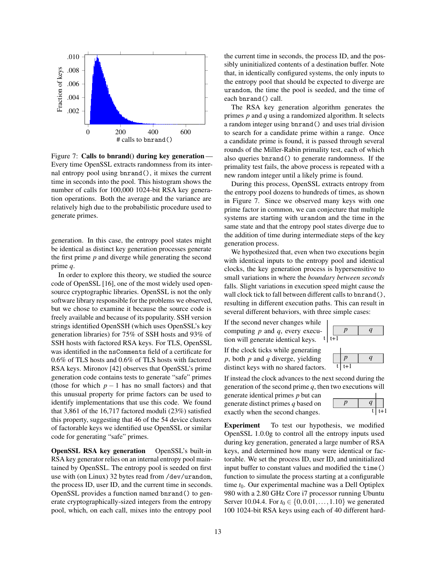<span id="page-12-0"></span>

Figure 7: Calls to bnrand() during key generation-Every time OpenSSL extracts randomness from its internal entropy pool using bnrand(), it mixes the current time in seconds into the pool. This histogram shows the number of calls for 100,000 1024-bit RSA key generation operations. Both the average and the variance are relatively high due to the probabilistic procedure used to generate primes.

generation. In this case, the entropy pool states might be identical as distinct key generation processes generate the first prime *p* and diverge while generating the second prime *q*.

In order to explore this theory, we studied the source code of OpenSSL [\[16\]](#page-20-19), one of the most widely used opensource cryptographic libraries. OpenSSL is not the only software library responsible for the problems we observed, but we chose to examine it because the source code is freely available and because of its popularity. SSH version strings identified OpenSSH (which uses OpenSSL's key generation libraries) for 75% of SSH hosts and 93% of SSH hosts with factored RSA keys. For TLS, OpenSSL was identified in the nsComments field of a certificate for 0.6% of TLS hosts and 0.6% of TLS hosts with factored RSA keys. Mironov [\[42\]](#page-20-30) observes that OpenSSL's prime generation code contains tests to generate "safe" primes (those for which  $p-1$  has no small factors) and that this unusual property for prime factors can be used to identify implementations that use this code. We found that 3,861 of the 16,717 factored moduli (23%) satisfied this property, suggesting that 46 of the 54 device clusters of factorable keys we identified use OpenSSL or similar code for generating "safe" primes.

OpenSSL RSA key generation OpenSSL's built-in RSA key generator relies on an internal entropy pool maintained by OpenSSL. The entropy pool is seeded on first use with (on Linux) 32 bytes read from /dev/urandom, the process ID, user ID, and the current time in seconds. OpenSSL provides a function named bnrand() to generate cryptographically-sized integers from the entropy pool, which, on each call, mixes into the entropy pool

the current time in seconds, the process ID, and the possibly uninitialized contents of a destination buffer. Note that, in identically configured systems, the only inputs to the entropy pool that should be expected to diverge are urandom, the time the pool is seeded, and the time of each bnrand() call.

The RSA key generation algorithm generates the primes *p* and *q* using a randomized algorithm. It selects a random integer using bnrand() and uses trial division to search for a candidate prime within a range. Once a candidate prime is found, it is passed through several rounds of the Miller-Rabin primality test, each of which also queries bnrand() to generate randomness. If the primality test fails, the above process is repeated with a new random integer until a likely prime is found.

During this process, OpenSSL extracts entropy from the entropy pool dozens to hundreds of times, as shown in Figure [7.](#page-12-0) Since we observed many keys with one prime factor in common, we can conjecture that multiple systems are starting with urandom and the time in the same state and that the entropy pool states diverge due to the addition of time during intermediate steps of the key generation process.

We hypothesized that, even when two executions begin with identical inputs to the entropy pool and identical clocks, the key generation process is hypersensitive to small variations in where the *boundary between seconds* falls. Slight variations in execution speed might cause the wall clock tick to fall between different calls to bnrand(), resulting in different execution paths. This can result in several different behaviors, with three simple cases:

If the second never changes while computing *p* and *q*, every execution will generate identical keys.

If the clock ticks while generating *p*, both *p* and *q* diverge, yielding distinct keys with no shared factors.

If instead the clock advances to the next second during the generation of the second prime  $q$ , then two executions will

generate identical primes *p* but can generate distinct primes *q* based on exactly when the second changes.

| ι. |     |
|----|-----|
|    | t+1 |

Experiment To test our hypothesis, we modified OpenSSL 1.0.0g to control all the entropy inputs used during key generation, generated a large number of RSA keys, and determined how many were identical or factorable. We set the process ID, user ID, and uninitialized input buffer to constant values and modified the time() function to simulate the process starting at a configurable time  $t_0$ . Our experimental machine was a Dell Optiplex 980 with a 2.80 GHz Core i7 processor running Ubuntu Server 10.04.4. For  $t_0 \in \{0, 0.01, \ldots, 1.10\}$  we generated 100 1024-bit RSA keys using each of 40 different hard-



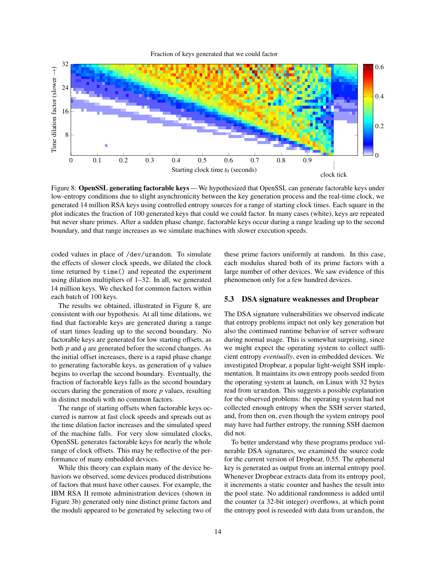Fraction of keys generated that we could factor

<span id="page-13-0"></span>

Figure 8: OpenSSL generating factorable keys — We hypothesized that OpenSSL can generate factorable keys under low-entropy conditions due to slight asynchronicity between the key generation process and the real-time clock, we generated 14 million RSA keys using controlled entropy sources for a range of starting clock times. Each square in the plot indicates the fraction of 100 generated keys that could we could factor. In many cases (white), keys are repeated but never share primes. After a sudden phase change, factorable keys occur during a range leading up to the second boundary, and that range increases as we simulate machines with slower execution speeds.

coded values in place of /dev/urandom. To simulate the effects of slower clock speeds, we dilated the clock time returned by time() and repeated the experiment using dilation multipliers of 1–32. In all, we generated 14 million keys. We checked for common factors within each batch of 100 keys.

The results we obtained, illustrated in Figure [8,](#page-13-0) are consistent with our hypothesis. At all time dilations, we find that factorable keys are generated during a range of start times leading up to the second boundary. No factorable keys are generated for low starting offsets, as both *p* and *q* are generated before the second changes. As the initial offset increases, there is a rapid phase change to generating factorable keys, as generation of *q* values begins to overlap the second boundary. Eventually, the fraction of factorable keys falls as the second boundary occurs during the generation of more *p* values, resulting in distinct moduli with no common factors.

The range of starting offsets when factorable keys occurred is narrow at fast clock speeds and spreads out as the time dilation factor increases and the simulated speed of the machine falls. For very slow simulated clocks, OpenSSL generates factorable keys for nearly the whole range of clock offsets. This may be reflective of the performance of many embedded devices.

While this theory can explain many of the device behaviors we observed, some devices produced distributions of factors that must have other causes. For example, the IBM RSA II remote administration devices (shown in Figure [3b](#page-7-1)) generated only nine distinct prime factors and the moduli appeared to be generated by selecting two of

these prime factors uniformly at random. In this case, each modulus shared both of its prime factors with a large number of other devices. We saw evidence of this phenomenon only for a few hundred devices.

#### 5.3 DSA signature weaknesses and Dropbear

The DSA signature vulnerabilities we observed indicate that entropy problems impact not only key generation but also the continued runtime behavior of server software during normal usage. This is somewhat surprising, since we might expect the operating system to collect sufficient entropy *eventually*, even in embedded devices. We investigated Dropbear, a popular light-weight SSH implementation. It maintains its own entropy pools seeded from the operating system at launch, on Linux with 32 bytes read from urandom. This suggests a possible explanation for the observed problems: the operating system had not collected enough entropy when the SSH server started, and, from then on, even though the system entropy pool may have had further entropy, the running SSH daemon did not.

To better understand why these programs produce vulnerable DSA signatures, we examined the source code for the current version of Dropbear, 0.55. The ephemeral key is generated as output from an internal entropy pool. Whenever Dropbear extracts data from its entropy pool, it increments a static counter and hashes the result into the pool state. No additional randomness is added until the counter (a 32-bit integer) overflows, at which point the entropy pool is reseeded with data from urandom, the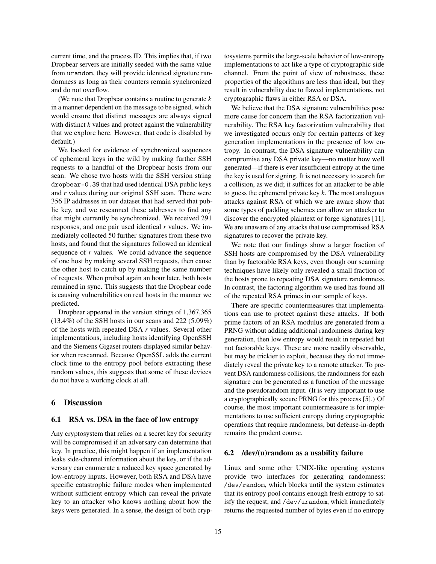current time, and the process ID. This implies that, if two Dropbear servers are initially seeded with the same value from urandom, they will provide identical signature randomness as long as their counters remain synchronized and do not overflow.

(We note that Dropbear contains a routine to generate *k* in a manner dependent on the message to be signed, which would ensure that distinct messages are always signed with distinct *k* values and protect against the vulnerability that we explore here. However, that code is disabled by default.)

We looked for evidence of synchronized sequences of ephemeral keys in the wild by making further SSH requests to a handful of the Dropbear hosts from our scan. We chose two hosts with the SSH version string dropbear-0.39 that had used identical DSA public keys and *r* values during our original SSH scan. There were 356 IP addresses in our dataset that had served that public key, and we rescanned these addresses to find any that might currently be synchronized. We received 291 responses, and one pair used identical *r* values. We immediately collected 50 further signatures from these two hosts, and found that the signatures followed an identical sequence of *r* values. We could advance the sequence of one host by making several SSH requests, then cause the other host to catch up by making the same number of requests. When probed again an hour later, both hosts remained in sync. This suggests that the Dropbear code is causing vulnerabilities on real hosts in the manner we predicted.

Dropbear appeared in the version strings of 1,367,365 (13.4%) of the SSH hosts in our scans and 222 (5.09%) of the hosts with repeated DSA *r* values. Several other implementations, including hosts identifying OpenSSH and the Siemens Gigaset routers displayed similar behavior when rescanned. Because OpenSSL adds the current clock time to the entropy pool before extracting these random values, this suggests that some of these devices do not have a working clock at all.

# 6 Discussion

# <span id="page-14-1"></span>6.1 RSA vs. DSA in the face of low entropy

Any cryptosystem that relies on a secret key for security will be compromised if an adversary can determine that key. In practice, this might happen if an implementation leaks side-channel information about the key, or if the adversary can enumerate a reduced key space generated by low-entropy inputs. However, both RSA and DSA have specific catastrophic failure modes when implemented without sufficient entropy which can reveal the private key to an attacker who knows nothing about how the keys were generated. In a sense, the design of both cryptosystems permits the large-scale behavior of low-entropy implementations to act like a type of cryptographic side channel. From the point of view of robustness, these properties of the algorithms are less than ideal, but they result in vulnerability due to flawed implementations, not cryptographic flaws in either RSA or DSA.

We believe that the DSA signature vulnerabilities pose more cause for concern than the RSA factorization vulnerability. The RSA key factorization vulnerability that we investigated occurs only for certain patterns of key generation implementations in the presence of low entropy. In contrast, the DSA signature vulnerability can compromise any DSA private key—no matter how well generated—if there is ever insufficient entropy at the time the key is used for signing. It is not necessary to search for a collision, as we did; it suffices for an attacker to be able to guess the ephemeral private key *k*. The most analogous attacks against RSA of which we are aware show that some types of padding schemes can allow an attacker to discover the encrypted plaintext or forge signatures [\[11\]](#page-19-8). We are unaware of any attacks that use compromised RSA signatures to recover the private key.

We note that our findings show a larger fraction of SSH hosts are compromised by the DSA vulnerability than by factorable RSA keys, even though our scanning techniques have likely only revealed a small fraction of the hosts prone to repeating DSA signature randomness. In contrast, the factoring algorithm we used has found all of the repeated RSA primes in our sample of keys.

There are specific countermeasures that implementations can use to protect against these attacks. If both prime factors of an RSA modulus are generated from a PRNG without adding additional randomness during key generation, then low entropy would result in repeated but not factorable keys. These are more readily observable, but may be trickier to exploit, because they do not immediately reveal the private key to a remote attacker. To prevent DSA randomness collisions, the randomness for each signature can be generated as a function of the message and the pseudorandom input. (It is very important to use a cryptographically secure PRNG for this process [\[5\]](#page-19-3).) Of course, the most important countermeasure is for implementations to use sufficient entropy during cryptographic operations that require randomness, but defense-in-depth remains the prudent course.

#### <span id="page-14-0"></span>6.2 /dev/(u)random as a usability failure

Linux and some other UNIX-like operating systems provide two interfaces for generating randomness: /dev/random, which blocks until the system estimates that its entropy pool contains enough fresh entropy to satisfy the request, and /dev/urandom, which immediately returns the requested number of bytes even if no entropy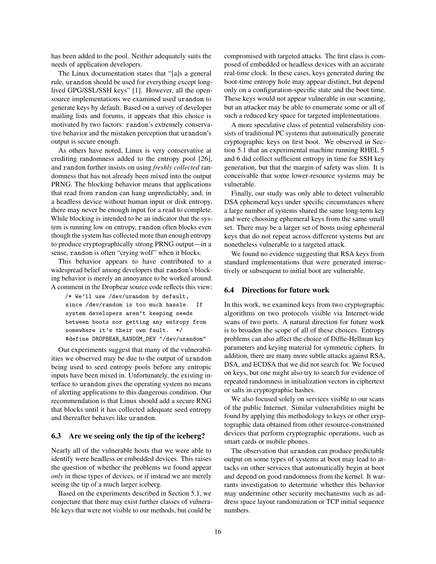has been added to the pool. Neither adequately suits the needs of application developers.

The Linux documentation states that "[a]s a general rule, urandom should be used for everything except longlived GPG/SSL/SSH keys" [\[1\]](#page-19-9). However, all the opensource implementations we examined used urandom to generate keys by default. Based on a survey of developer mailing lists and forums, it appears that this choice is motivated by two factors: random's extremely conservative behavior and the mistaken perception that urandom's output is secure enough.

As others have noted, Linux is very conservative at crediting randomness added to the entropy pool [\[26\]](#page-20-4), and random further insists on using *freshly collected* randomness that has not already been mixed into the output PRNG. The blocking behavior means that applications that read from random can hang unpredictably, and, in a headless device without human input or disk entropy, there may never be enough input for a read to complete. While blocking is intended to be an indicator that the system is running low on entropy, random often blocks even though the system has collected more than enough entropy to produce cryptographically strong PRNG output—in a sense, random is often "crying wolf" when it blocks.

This behavior appears to have contributed to a widespread belief among developers that random's blocking behavior is merely an annoyance to be worked around. A comment in the Dropbear source code reflects this view:

/\* We'll use /dev/urandom by default, since /dev/random is too much hassle. If system developers aren't keeping seeds between boots nor getting any entropy from somewhere it's their own fault. \*/ #define DROPBEAR RANDOM DEV "/dev/urandom"

Our experiments suggest that many of the vulnerabilities we observed may be due to the output of urandom being used to seed entropy pools before any entropic inputs have been mixed in. Unfortunately, the existing interface to urandom gives the operating system no means of alerting applications to this dangerous condition. Our recommendation is that Linux should add a secure RNG that blocks until it has collected adequate seed entropy and thereafter behaves like urandom.

#### 6.3 Are we seeing only the tip of the iceberg?

Nearly all of the vulnerable hosts that we were able to identify were headless or embedded devices. This raises the question of whether the problems we found appear *only* in these types of devices, or if instead we are merely seeing the tip of a much larger iceberg.

Based on the experiments described in Section [5.1,](#page-9-1) we conjecture that there may exist further classes of vulnerable keys that were not visible to our methods, but could be compromised with targeted attacks. The first class is composed of embedded or headless devices with an accurate real-time clock. In these cases, keys generated during the boot-time entropy hole may appear distinct, but depend only on a configuration-specific state and the boot time. These keys would not appear vulnerable in our scanning, but an attacker may be able to enumerate some or all of such a reduced key space for targeted implementations.

A more speculative class of potential vulnerability consists of traditional PC systems that automatically generate cryptographic keys on first boot. We observed in Section [5.1](#page-9-1) that an experimental machine running RHEL 5 and 6 did collect sufficient entropy in time for SSH key generation, but that the margin of safety was slim. It is conceivable that some lower-resource systems may be vulnerable.

Finally, our study was only able to detect vulnerable DSA ephemeral keys under specific circumstances where a large number of systems shared the same long-term key and were choosing ephemeral keys from the same small set. There may be a larger set of hosts using ephemeral keys that do not repeat across different systems but are nonetheless vulnerable to a targeted attack.

We found no evidence suggesting that RSA keys from standard implementations that were generated interactively or subsequent to initial boot are vulnerable.

# 6.4 Directions for future work

In this work, we examined keys from two cryptographic algorithms on two protocols visible via Internet-wide scans of two ports. A natural direction for future work is to broaden the scope of all of these choices. Entropy problems can also affect the choice of Diffie-Hellman key parameters and keying material for symmetric ciphers. In addition, there are many more subtle attacks against RSA, DSA, and ECDSA that we did not search for. We focused on keys, but one might also try to search for evidence of repeated randomness in initialization vectors in ciphertext or salts in cryptographic hashes.

We also focused solely on services visible to our scans of the public Internet. Similar vulnerabilities might be found by applying this methodology to keys or other cryptographic data obtained from other resource-constrained devices that perform cryptographic operations, such as smart cards or mobile phones.

The observation that urandom can produce predictable output on some types of systems at boot may lead to attacks on other services that automatically begin at boot and depend on good randomness from the kernel. It warrants investigation to determine whether this behavior may undermine other security mechanisms such as address space layout randomization or TCP initial sequence numbers.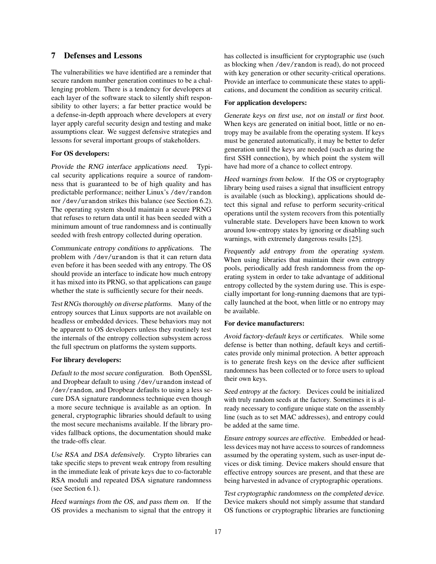# <span id="page-16-0"></span>7 Defenses and Lessons

The vulnerabilities we have identified are a reminder that secure random number generation continues to be a challenging problem. There is a tendency for developers at each layer of the software stack to silently shift responsibility to other layers; a far better practice would be a defense-in-depth approach where developers at every layer apply careful security design and testing and make assumptions clear. We suggest defensive strategies and lessons for several important groups of stakeholders.

#### For OS developers:

Provide the RNG interface applications need. Typical security applications require a source of randomness that is guaranteed to be of high quality and has predictable performance; neither Linux's /dev/random nor /dev/urandom strikes this balance (see Section [6.2\)](#page-14-0). The operating system should maintain a secure PRNG that refuses to return data until it has been seeded with a minimum amount of true randomness and is continually seeded with fresh entropy collected during operation.

Communicate entropy conditions to applications. The problem with /dev/urandom is that it can return data even before it has been seeded with any entropy. The OS should provide an interface to indicate how much entropy it has mixed into its PRNG, so that applications can gauge whether the state is sufficiently secure for their needs.

Test RNGs thoroughly on diverse platforms. Many of the entropy sources that Linux supports are not available on headless or embedded devices. These behaviors may not be apparent to OS developers unless they routinely test the internals of the entropy collection subsystem across the full spectrum on platforms the system supports.

#### For library developers:

Default to the most secure configuration. Both OpenSSL and Dropbear default to using /dev/urandom instead of /dev/random, and Dropbear defaults to using a less secure DSA signature randomness technique even though a more secure technique is available as an option. In general, cryptographic libraries should default to using the most secure mechanisms available. If the library provides fallback options, the documentation should make the trade-offs clear.

Use RSA and DSA defensively. Crypto libraries can take specific steps to prevent weak entropy from resulting in the immediate leak of private keys due to co-factorable RSA moduli and repeated DSA signature randomness (see Section [6.1\)](#page-14-1).

Heed warnings from the OS, and pass them on. If the OS provides a mechanism to signal that the entropy it has collected is insufficient for cryptographic use (such as blocking when /dev/random is read), do not proceed with key generation or other security-critical operations. Provide an interface to communicate these states to applications, and document the condition as security critical.

#### For application developers:

Generate keys on first use, not on install or first boot. When keys are generated on initial boot, little or no entropy may be available from the operating system. If keys must be generated automatically, it may be better to defer generation until the keys are needed (such as during the first SSH connection), by which point the system will have had more of a chance to collect entropy.

Heed warnings from below. If the OS or cryptography library being used raises a signal that insufficient entropy is available (such as blocking), applications should detect this signal and refuse to perform security-critical operations until the system recovers from this potentially vulnerable state. Developers have been known to work around low-entropy states by ignoring or disabling such warnings, with extremely dangerous results [\[25\]](#page-20-31).

Frequently add entropy from the operating system. When using libraries that maintain their own entropy pools, periodically add fresh randomness from the operating system in order to take advantage of additional entropy collected by the system during use. This is especially important for long-running daemons that are typically launched at the boot, when little or no entropy may be available.

## For device manufacturers:

Avoid factory-default keys or certificates. While some defense is better than nothing, default keys and certificates provide only minimal protection. A better approach is to generate fresh keys on the device after sufficient randomness has been collected or to force users to upload their own keys.

Seed entropy at the factory. Devices could be initialized with truly random seeds at the factory. Sometimes it is already necessary to configure unique state on the assembly line (such as to set MAC addresses), and entropy could be added at the same time.

Ensure entropy sources are effective. Embedded or headless devices may not have access to sources of randomness assumed by the operating system, such as user-input devices or disk timing. Device makers should ensure that effective entropy sources are present, and that these are being harvested in advance of cryptographic operations.

Test cryptographic randomness on the completed device. Device makers should not simply assume that standard OS functions or cryptographic libraries are functioning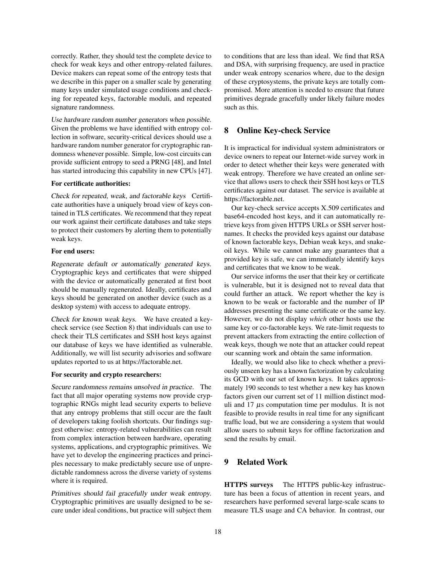correctly. Rather, they should test the complete device to check for weak keys and other entropy-related failures. Device makers can repeat some of the entropy tests that we describe in this paper on a smaller scale by generating many keys under simulated usage conditions and checking for repeated keys, factorable moduli, and repeated signature randomness.

Use hardware random number generators when possible. Given the problems we have identified with entropy collection in software, security-critical devices should use a hardware random number generator for cryptographic randomness whenever possible. Simple, low-cost circuits can provide sufficient entropy to seed a PRNG [\[48\]](#page-20-32), and Intel has started introducing this capability in new CPUs [\[47\]](#page-20-33).

#### For certificate authorities:

Check for repeated, weak, and factorable keys Certificate authorities have a uniquely broad view of keys contained in TLS certificates. We recommend that they repeat our work against their certificate databases and take steps to protect their customers by alerting them to potentially weak keys.

#### For end users:

Regenerate default or automatically generated keys. Cryptographic keys and certificates that were shipped with the device or automatically generated at first boot should be manually regenerated. Ideally, certificates and keys should be generated on another device (such as a desktop system) with access to adequate entropy.

Check for known weak keys. We have created a keycheck service (see Section [8\)](#page-17-0) that individuals can use to check their TLS certificates and SSH host keys against our database of keys we have identified as vulnerable. Additionally, we will list security advisories and software updates reported to us at [https://factorable.net.](https://factorable.net)

#### For security and crypto researchers:

Secure randomness remains unsolved in practice. The fact that all major operating systems now provide cryptographic RNGs might lead security experts to believe that any entropy problems that still occur are the fault of developers taking foolish shortcuts. Our findings suggest otherwise: entropy-related vulnerabilities can result from complex interaction between hardware, operating systems, applications, and cryptographic primitives. We have yet to develop the engineering practices and principles necessary to make predictably secure use of unpredictable randomness across the diverse variety of systems where it is required.

Primitives should fail gracefully under weak entropy. Cryptographic primitives are usually designed to be secure under ideal conditions, but practice will subject them to conditions that are less than ideal. We find that RSA and DSA, with surprising frequency, are used in practice under weak entropy scenarios where, due to the design of these cryptosystems, the private keys are totally compromised. More attention is needed to ensure that future primitives degrade gracefully under likely failure modes such as this.

# <span id="page-17-0"></span>8 Online Key-check Service

It is impractical for individual system administrators or device owners to repeat our Internet-wide survey work in order to detect whether their keys were generated with weak entropy. Therefore we have created an online service that allows users to check their SSH host keys or TLS certificates against our dataset. The service is available at [https://factorable.net.](https://factorable.net)

Our key-check service accepts X.509 certificates and base64-encoded host keys, and it can automatically retrieve keys from given HTTPS URLs or SSH server hostnames. It checks the provided keys against our database of known factorable keys, Debian weak keys, and snakeoil keys. While we cannot make any guarantees that a provided key is safe, we can immediately identify keys and certificates that we know to be weak.

Our service informs the user that their key or certificate is vulnerable, but it is designed not to reveal data that could further an attack. We report whether the key is known to be weak or factorable and the number of IP addresses presenting the same certificate or the same key. However, we do not display *which* other hosts use the same key or co-factorable keys. We rate-limit requests to prevent attackers from extracting the entire collection of weak keys, though we note that an attacker could repeat our scanning work and obtain the same information.

Ideally, we would also like to check whether a previously unseen key has a known factorization by calculating its GCD with our set of known keys. It takes approximately 190 seconds to test whether a new key has known factors given our current set of 11 million distinct moduli and  $17 \mu s$  computation time per modulus. It is not feasible to provide results in real time for any significant traffic load, but we are considering a system that would allow users to submit keys for offline factorization and send the results by email.

# 9 Related Work

HTTPS surveys The HTTPS public-key infrastructure has been a focus of attention in recent years, and researchers have performed several large-scale scans to measure TLS usage and CA behavior. In contrast, our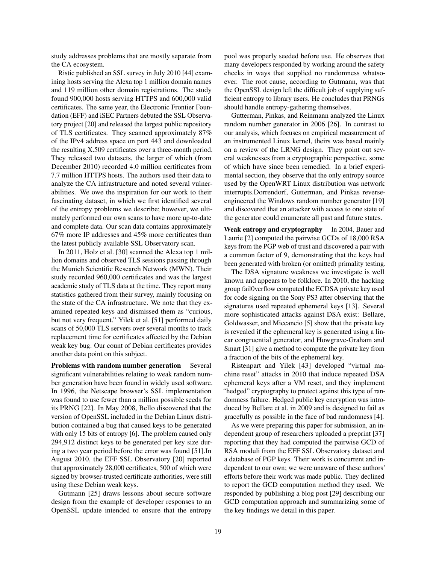study addresses problems that are mostly separate from the CA ecosystem.

Ristic published an SSL survey in July 2010 [\[44\]](#page-20-34) examining hosts serving the Alexa top 1 million domain names and 119 million other domain registrations. The study found 900,000 hosts serving HTTPS and 600,000 valid certificates. The same year, the Electronic Frontier Foundation (EFF) and iSEC Partners debuted the SSL Observatory project [\[20\]](#page-20-6) and released the largest public repository of TLS certificates. They scanned approximately 87% of the IPv4 address space on port 443 and downloaded the resulting X.509 certificates over a three-month period. They released two datasets, the larger of which (from December 2010) recorded 4.0 million certificates from 7.7 million HTTPS hosts. The authors used their data to analyze the CA infrastructure and noted several vulnerabilities. We owe the inspiration for our work to their fascinating dataset, in which we first identified several of the entropy problems we describe; however, we ultimately performed our own scans to have more up-to-date and complete data. Our scan data contains approximately 67% more IP addresses and 45% more certificates than the latest publicly available SSL Observatory scan.

In 2011, Holz et al. [\[30\]](#page-20-35) scanned the Alexa top 1 million domains and observed TLS sessions passing through the Munich Scientific Research Network (MWN). Their study recorded 960,000 certificates and was the largest academic study of TLS data at the time. They report many statistics gathered from their survey, mainly focusing on the state of the CA infrastructure. We note that they examined repeated keys and dismissed them as "curious, but not very frequent." Yilek et al. [\[51\]](#page-20-24) performed daily scans of 50,000 TLS servers over several months to track replacement time for certificates affected by the Debian weak key bug. Our count of Debian certificates provides another data point on this subject.

Problems with random number generation Several significant vulnerabilities relating to weak random number generation have been found in widely used software. In 1996, the Netscape browser's SSL implementation was found to use fewer than a million possible seeds for its PRNG [\[22\]](#page-20-5). In May 2008, Bello discovered that the version of OpenSSL included in the Debian Linux distribution contained a bug that caused keys to be generated with only 15 bits of entropy [\[6\]](#page-19-1). The problem caused only 294,912 distinct keys to be generated per key size during a two year period before the error was found [\[51\]](#page-20-24).In August 2010, the EFF SSL Observatory [\[20\]](#page-20-6) reported that approximately 28,000 certificates, 500 of which were signed by browser-trusted certificate authorities, were still using these Debian weak keys.

Gutmann [\[25\]](#page-20-31) draws lessons about secure software design from the example of developer responses to an OpenSSL update intended to ensure that the entropy pool was properly seeded before use. He observes that many developers responded by working around the safety checks in ways that supplied no randomness whatsoever. The root cause, according to Gutmann, was that the OpenSSL design left the difficult job of supplying sufficient entropy to library users. He concludes that PRNGs should handle entropy-gathering themselves.

Gutterman, Pinkas, and Reinmann analyzed the Linux random number generator in 2006 [\[26\]](#page-20-4). In contrast to our analysis, which focuses on empirical measurement of an instrumented Linux kernel, theirs was based mainly on a review of the LRNG design. They point out several weaknesses from a cryptographic perspective, some of which have since been remedied. In a brief experimental section, they observe that the only entropy source used by the OpenWRT Linux distribution was network interrupts.Dorrendorf, Gutterman, and Pinkas reverseengineered the Windows random number generator [\[19\]](#page-20-2) and discovered that an attacker with access to one state of the generator could enumerate all past and future states.

Weak entropy and cryptography In 2004, Bauer and Laurie [\[2\]](#page-19-10) computed the pairwise GCDs of 18,000 RSA keys from the PGP web of trust and discovered a pair with a common factor of 9, demonstrating that the keys had been generated with broken (or omitted) primality testing.

The DSA signature weakness we investigate is well known and appears to be folklore. In 2010, the hacking group fail0verflow computed the ECDSA private key used for code signing on the Sony PS3 after observing that the signatures used repeated ephemeral keys [\[13\]](#page-19-11). Several more sophisticated attacks against DSA exist: Bellare, Goldwasser, and Miccancio [\[5\]](#page-19-3) show that the private key is revealed if the ephemeral key is generated using a linear congruential generator, and Howgrave-Graham and Smart [\[31\]](#page-20-36) give a method to compute the private key from a fraction of the bits of the ephemeral key.

Ristenpart and Yilek [\[43\]](#page-20-37) developed "virtual machine reset" attacks in 2010 that induce repeated DSA ephemeral keys after a VM reset, and they implement "hedged" cryptography to protect against this type of randomness failure. Hedged public key encryption was introduced by Bellare et al. in 2009 and is designed to fail as gracefully as possible in the face of bad randomness [\[4\]](#page-19-12).

As we were preparing this paper for submission, an independent group of researchers uploaded a preprint [\[37\]](#page-20-38) reporting that they had computed the pairwise GCD of RSA moduli from the EFF SSL Observatory dataset and a database of PGP keys. Their work is concurrent and independent to our own; we were unaware of these authors' efforts before their work was made public. They declined to report the GCD computation method they used. We responded by publishing a blog post [\[29\]](#page-20-39) describing our GCD computation approach and summarizing some of the key findings we detail in this paper.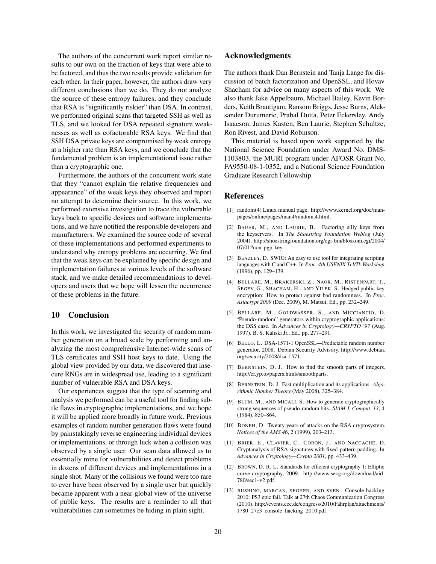The authors of the concurrent work report similar results to our own on the fraction of keys that were able to be factored, and thus the two results provide validation for each other. In their paper, however, the authors draw very different conclusions than we do. They do not analyze the source of these entropy failures, and they conclude that RSA is "significantly riskier" than DSA. In contrast, we performed original scans that targeted SSH as well as TLS, and we looked for DSA repeated signature weaknesses as well as cofactorable RSA keys. We find that SSH DSA private keys are compromised by weak entropy at a higher rate than RSA keys, and we conclude that the fundamental problem is an implementational issue rather than a cryptographic one.

Furthermore, the authors of the concurrent work state that they "cannot explain the relative frequencies and appearance" of the weak keys they observed and report no attempt to determine their source. In this work, we performed extensive investigation to trace the vulnerable keys back to specific devices and software implementations, and we have notified the responsible developers and manufacturers. We examined the source code of several of these implementations and performed experiments to understand why entropy problems are occurring. We find that the weak keys can be explained by specific design and implementation failures at various levels of the software stack, and we make detailed recommendations to developers and users that we hope will lessen the occurrence of these problems in the future.

# 10 Conclusion

In this work, we investigated the security of random number generation on a broad scale by performing and analyzing the most comprehensive Internet-wide scans of TLS certificates and SSH host keys to date. Using the global view provided by our data, we discovered that insecure RNGs are in widespread use, leading to a significant number of vulnerable RSA and DSA keys.

Our experiences suggest that the type of scanning and analysis we performed can be a useful tool for finding subtle flaws in cryptographic implementations, and we hope it will be applied more broadly in future work. Previous examples of random number generation flaws were found by painstakingly reverse engineering individual devices or implementations, or through luck when a collision was observed by a single user. Our scan data allowed us to essentially mine for vulnerabilities and detect problems in dozens of different devices and implementations in a single shot. Many of the collisions we found were too rare to ever have been observed by a single user but quickly became apparent with a near-global view of the universe of public keys. The results are a reminder to all that vulnerabilities can sometimes be hiding in plain sight.

# Acknowledgments

The authors thank Dan Bernstein and Tanja Lange for discussion of batch factorization and OpenSSL, and Hovav Shacham for advice on many aspects of this work. We also thank Jake Appelbaum, Michael Bailey, Kevin Borders, Keith Brautigam, Ransom Briggs, Jesse Burns, Aleksander Durumeric, Prabal Dutta, Peter Eckersley, Andy Isaacson, James Kasten, Ben Laurie, Stephen Schultze, Ron Rivest, and David Robinson.

This material is based upon work supported by the National Science Foundation under Award No. DMS-1103803, the MURI program under AFOSR Grant No. FA9550-08-1-0352, and a National Science Foundation Graduate Research Fellowship.

#### References

- <span id="page-19-9"></span>[1] random(4) Linux manual page. [http://www.kernel.org/doc/man](http://www.kernel.org/doc/man-pages/online/pages/man4/random.4.html)[pages/online/pages/man4/random.4.html.](http://www.kernel.org/doc/man-pages/online/pages/man4/random.4.html)
- <span id="page-19-10"></span>[2] BAUER, M., AND LAURIE, B. Factoring silly keys from the keyservers. In *The Shoestring Foundation Weblog* (July 2004). [http://shoestringfoundation.org/cgi-bin/blosxom.cgi/2004/](http://shoestringfoundation.org/cgi-bin/blosxom.cgi/2004/07/01#non-pgp-key) [07/01#non-pgp-key.](http://shoestringfoundation.org/cgi-bin/blosxom.cgi/2004/07/01#non-pgp-key)
- <span id="page-19-5"></span>[3] BEAZLEY, D. SWIG: An easy to use tool for integrating scripting languages with C and C++. In *Proc. 4th USENIX Tcl/Tk Workshop* (1996), pp. 129–139.
- <span id="page-19-12"></span>[4] BELLARE, M., BRAKERSKI, Z., NAOR, M., RISTENPART, T., SEGEV, G., SHACHAM, H., AND YILEK, S. Hedged public-key encryption: How to protect against bad randomness. In *Proc. Asiacrypt 2009* (Dec. 2009), M. Matsui, Ed., pp. 232–249.
- <span id="page-19-3"></span>[5] BELLARE, M., GOLDWASSER, S., AND MICCIANCIO, D. "Pseudo-random" generators within cryptographic applications: the DSS case. In *Advances in Cryptology—CRYPTO '97* (Aug. 1997), B. S. Kaliski Jr., Ed., pp. 277–291.
- <span id="page-19-1"></span>[6] BELLO, L. DSA-1571-1 OpenSSL—Predictable random number generator, 2008. Debian Security Advisory. [http://www.debian.](http://www.debian.org/security/2008/dsa-1571) [org/security/2008/dsa-1571.](http://www.debian.org/security/2008/dsa-1571)
- <span id="page-19-7"></span>[7] BERNSTEIN, D. J. How to find the smooth parts of integers. http://cr.yp.to/papers.html#smoothparts.
- <span id="page-19-6"></span>[8] BERNSTEIN, D. J. Fast multiplication and its applications. *Algorithmic Number Theory* (May 2008), 325–384.
- <span id="page-19-0"></span>[9] BLUM, M., AND MICALI, S. How to generate cryptographically strong sequences of pseudo-random bits. *SIAM J. Comput. 13*, 4 (1984), 850–864.
- <span id="page-19-2"></span>[10] BONEH, D. Twenty years of attacks on the RSA cryptosystem. *Notices of the AMS 46*, 2 (1999), 203–213.
- <span id="page-19-8"></span>[11] BRIER, E., CLAVIER, C., CORON, J., AND NACCACHE, D. Cryptanalysis of RSA signatures with fixed-pattern padding. In *Advances in Cryptology—Crypto 2001*, pp. 433–439.
- <span id="page-19-4"></span>[12] BROWN, D. R. L. Standards for efficient cryptography 1: Elliptic curve cryptography, 2009. [http://www.secg.org/download/aid-](http://www.secg.org/download/aid-780/sec1-v2.pdf)[780/sec1-v2.pdf.](http://www.secg.org/download/aid-780/sec1-v2.pdf)
- <span id="page-19-11"></span>[13] BUSHING, MARCAN, SEGHER, AND SVEN. Console hacking 2010: PS3 epic fail. Talk at 27th Chaos Communication Congress (2010). [http://events.ccc.de/congress/2010/Fahrplan/attachments/](http://events.ccc.de/congress/2010/Fahrplan/attachments/1780_27c3_console_hacking_2010.pdf) [1780\\_27c3\\_console\\_hacking\\_2010.pdf.](http://events.ccc.de/congress/2010/Fahrplan/attachments/1780_27c3_console_hacking_2010.pdf)